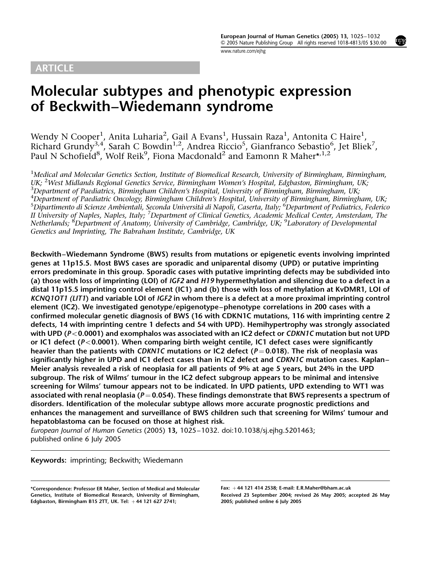# ARTICLE

www.nature.com/ejhg

# Molecular subtypes and phenotypic expression of Beckwith–Wiedemann syndrome

Wendy N Cooper<sup>1</sup>, Anita Luharia<sup>2</sup>, Gail A Evans<sup>1</sup>, Hussain Raza<sup>1</sup>, Antonita C Haire<sup>1</sup>, Richard Grundy<sup>3,4</sup>, Sarah C Bowdin<sup>1,2</sup>, Andrea Riccio<sup>5</sup>, Gianfranco Sebastio<sup>6</sup>, Jet Bliek<sup>7</sup>, Paul N Schofield<sup>8</sup>, Wolf Reik<sup>9</sup>, Fiona Macdonald<sup>2</sup> and Eamonn R Maher\*,<sup>1,2</sup>

<sup>1</sup>Medical and Molecular Genetics Section, Institute of Biomedical Research, University of Birmingham, Birmingham, UK; <sup>2</sup>West Midlands Regional Genetics Service, Birmingham Women's Hospital, Edgbaston, Birmingham, UK;<br><sup>3</sup>Department of Paediatrics, Birmingham Children's Hospital, University of Birmingham, Birmingham, UK; Department of Paediatrics, Birmingham Children's Hospital, University of Birmingham, Birmingham, UK; <sup>4</sup>Department of Paediatric Oncology, Birmingham Children's Hospital, University of Birmingham, Birmingham, UK; <sup>5</sup>Dipartimento di Scienze Ambientali, Seconda Università di Napoli, Caserta, Italy; <sup>6</sup>Department of Pediatrics, Federico II University of Naples, Naples, Italy; <sup>7</sup>Department of Clinical Genetics, Academic Medical Center, Amsterdam, The Netherlands; <sup>8</sup>Department of Anatomy, University of Cambridge, Cambridge, UK; <sup>9</sup>Laboratory of Developmental Genetics and Imprinting, The Babraham Institute, Cambridge, UK

Beckwith–Wiedemann Syndrome (BWS) results from mutations or epigenetic events involving imprinted genes at 11p15.5. Most BWS cases are sporadic and uniparental disomy (UPD) or putative imprinting errors predominate in this group. Sporadic cases with putative imprinting defects may be subdivided into (a) those with loss of imprinting (LOI) of IGF2 and H19 hypermethylation and silencing due to a defect in a distal 11p15.5 imprinting control element (IC1) and (b) those with loss of methylation at KvDMR1, LOI of KCNQ1OT1 (LIT1) and variable LOI of IGF2 in whom there is a defect at a more proximal imprinting control element (IC2). We investigated genotype/epigenotype–phenotype correlations in 200 cases with a confirmed molecular genetic diagnosis of BWS (16 with CDKN1C mutations, 116 with imprinting centre 2 defects, 14 with imprinting centre 1 defects and 54 with UPD). Hemihypertrophy was strongly associated with UPD ( $P < 0.0001$ ) and exomphalos was associated with an IC2 defect or CDKN1C mutation but not UPD or IC1 defect ( $P < 0.0001$ ). When comparing birth weight centile, IC1 defect cases were significantly heavier than the patients with CDKN1C mutations or IC2 defect ( $P = 0.018$ ). The risk of neoplasia was significantly higher in UPD and IC1 defect cases than in IC2 defect and CDKN1C mutation cases. Kaplan– Meier analysis revealed a risk of neoplasia for all patients of 9% at age 5 years, but 24% in the UPD subgroup. The risk of Wilms' tumour in the IC2 defect subgroup appears to be minimal and intensive screening for Wilms' tumour appears not to be indicated. In UPD patients, UPD extending to WT1 was associated with renal neoplasia ( $P = 0.054$ ). These findings demonstrate that BWS represents a spectrum of disorders. Identification of the molecular subtype allows more accurate prognostic predictions and enhances the management and surveillance of BWS children such that screening for Wilms' tumour and hepatoblastoma can be focused on those at highest risk.

European Journal of Human Genetics (2005) 13, 1025–1032. doi:10.1038/sj.ejhg.5201463; published online 6 July 2005

Keywords: imprinting; Beckwith; Wiedemann

<sup>\*</sup>Correspondence: Professor ER Maher, Section of Medical and Molecular Genetics, Institute of Biomedical Research, University of Birmingham, Edgbaston, Birmingham B15 2TT, UK. Tel:  $+44$  121 627 2741;

Fax: þ 44 121 414 2538; E-mail: E.R.Maher@bham.ac.uk Received 23 September 2004; revised 26 May 2005; accepted 26 May 2005; published online 6 July 2005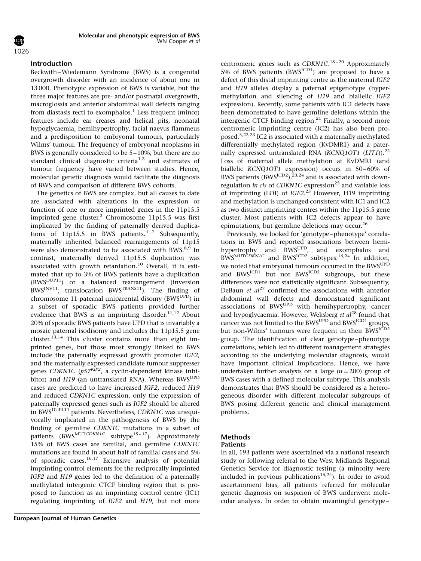#### 1026

#### Introduction

Beckwith–Wiedemann Syndrome (BWS) is a congenital overgrowth disorder with an incidence of about one in 13 000. Phenotypic expression of BWS is variable, but the three major features are pre- and/or postnatal overgrowth, macroglossia and anterior abdominal wall defects ranging from diastasis recti to exomphalos.<sup>1</sup> Less frequent (minor) features include ear creases and helical pits, neonatal hypoglycaemia, hemihypertrophy, facial naevus flammeus and a predisposition to embryonal tumours, particularly Wilms' tumour. The frequency of embryonal neoplasms in BWS is generally considered to be 5–10%, but there are no standard clinical diagnostic criteria<sup>1,2</sup> and estimates of tumour frequency have varied between studies. Hence, molecular genetic diagnosis would facilitate the diagnosis of BWS and comparison of different BWS cohorts.

The genetics of BWS are complex, but all causes to date are associated with alterations in the expression or function of one or more imprinted genes in the 11p15.5 imprinted gene cluster. $3$  Chromosome 11p15.5 was first implicated by the finding of paternally derived duplications of 11p15.5 in BWS patients.<sup>4-7</sup> Subsequently, maternally inherited balanced rearrangements of 11p15 were also demonstrated to be associated with BWS.<sup>8,9</sup> In contrast, maternally derived 11p15.5 duplication was associated with growth retardation.<sup>10</sup> Overall, it is estimated that up to 3% of BWS patients have a duplication  $(BWS^{DUP11})$  or a balanced rearrangement (inversion  $BWS^{INV11}$ ; translocation  $BWS^{TRANS11}$ ). The finding of chromosome 11 paternal uniparental disomy  $(BWS^{UPD})$  in a subset of sporadic BWS patients provided further evidence that BWS is an imprinting disorder. $11,12$  About 20% of sporadic BWS patients have UPD that is invariably a mosaic paternal isodisomy and includes the 11p15.5 gene cluster.<sup>13,14</sup> This cluster contains more than eight imprinted genes, but those most strongly linked to BWS include the paternally expressed growth promoter IGF2, and the maternally expressed candidate tumour suppresser genes CDKN1C ( $p57<sup>KIP2</sup>$ , a cyclin-dependent kinase inhibitor) and H19 (an untranslated RNA). Whereas BWS<sup>UPD</sup> cases are predicted to have increased IGF2, reduced H19 and reduced CDKN1C expression, only the expression of paternally expressed genes such as IGF2 should be altered in BWS<sup>DUPL11</sup> patients. Nevertheless, CDKN1C was unequivocally implicated in the pathogenesis of BWS by the finding of germline CDKN1C mutations in a subset of patients  $(BWS<sup>MUTCDKN1C</sup>$  subtype<sup>15-17</sup>). Approximately 15% of BWS cases are familial, and germline CDKN1C mutations are found in about half of familial cases and 5% of sporadic cases.<sup>16,17</sup> Extensive analysis of potential imprinting control elements for the reciprocally imprinted IGF2 and H19 genes led to the definition of a paternally methylated intergenic CTCF binding region that is proposed to function as an imprinting control centre (IC1) regulating imprinting of IGF2 and H19, but not more

centromeric genes such as *CDKN1C*.<sup>18-20</sup> Approximately 5% of BWS patients (BWS<sup>ICD1</sup>) are proposed to have a defect of this distal imprinting centre as the maternal IGF2 and H19 alleles display a paternal epigenotype (hypermethylation and silencing of H19 and biallelic IGF2 expression). Recently, some patients with IC1 defects have been demonstrated to have germline deletions within the intergenic CTCF binding region.<sup>21</sup> Finally, a second more centromeric imprinting centre (IC2) has also been proposed.3,22,23 IC2 is associated with a maternally methylated differentially methylated region (KvDMR1) and a paternally expressed untranslated RNA (KCNQ1OT1 (LIT1)).<sup>22</sup> Loss of maternal allele methylation at KvDMR1 (and biallelic KCNQ1OT1 expression) occurs in 50–60% of BWS patients (BWS<sup>ICD2</sup>),<sup>23,24</sup> and is associated with downregulation in cis of CDKN1C expression<sup>25</sup> and variable loss of imprinting (LOI) of *IGF2*.<sup>23</sup> However, H19 imprinting and methylation is unchanged consistent with IC1 and IC2 as two distinct imprinting centres within the 11p15.5 gene cluster. Most patients with IC2 defects appear to have epimutations, but germline deletions may occur.<sup>26</sup>

Previously, we looked for 'genotype–phenotype' correlations in BWS and reported associations between hemihypertrophy and BWS<sup>UPD</sup>, and exomphalos and  $\frac{B}{B}$  BWS<sup>MUTCDKN1C</sup> and  $\frac{B}{B}$  BWS<sup>ICD2</sup> subtypes.<sup>16,24</sup> In addition, we noted that embryonal tumours occurred in the BWS<sup>UPD</sup> and BWS<sup>ICD1</sup> but not BWS<sup>ICD2</sup> subgroups, but these differences were not statistically significant. Subsequently, DeBaun et  $al^{27}$  confirmed the associations with anterior abdominal wall defects and demonstrated significant associations of BWS<sup>UPD</sup> with hemihypertrophy, cancer and hypoglycaemia. However, Weksberg et  $al^{28}$  found that cancer was not limited to the  $BWS^{UPD}$  and  $BWS^{ICD1}$  groups, but non-Wilms' tumours were frequent in their BWS<sup>ICD2</sup> group. The identification of clear genotype–phenotype correlations, which led to different management strategies according to the underlying molecular diagnosis, would have important clinical implications. Hence, we have undertaken further analysis on a large  $(n = 200)$  group of BWS cases with a defined molecular subtype. This analysis demonstrates that BWS should be considered as a heterogeneous disorder with different molecular subgroups of BWS posing different genetic and clinical management problems.

## Methods

#### Patients

In all, 193 patients were ascertained via a national research study or following referral to the West Midlands Regional Genetics Service for diagnostic testing (a minority were included in previous publications<sup>16,24</sup>). In order to avoid ascertainment bias, all patients referred for molecular genetic diagnosis on suspicion of BWS underwent molecular analysis. In order to obtain meaningful genotype–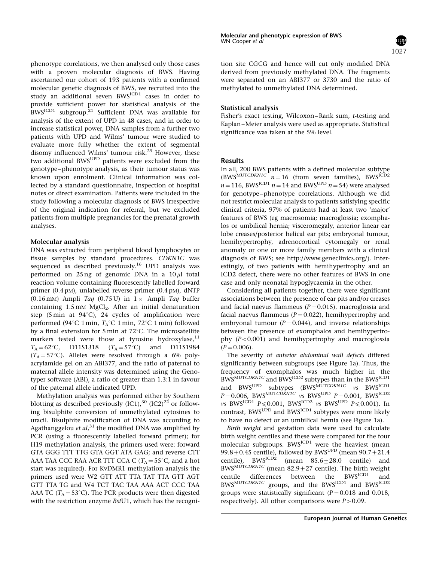phenotype correlations, we then analysed only those cases with a proven molecular diagnosis of BWS. Having ascertained our cohort of 193 patients with a confirmed molecular genetic diagnosis of BWS, we recruited into the study an additional seven BWSICD1 cases in order to provide sufficient power for statistical analysis of the  $BWS^{ICD1}$  subgroup.<sup>21</sup> Sufficient DNA was available for analysis of the extent of UPD in 48 cases, and in order to increase statistical power, DNA samples from a further two patients with UPD and Wilms' tumour were studied to evaluate more fully whether the extent of segmental disomy influenced Wilms' tumour risk.<sup>29</sup> However, these two additional BWSUPD patients were excluded from the genotype–phenotype analysis, as their tumour status was known upon enrolment. Clinical information was collected by a standard questionnaire, inspection of hospital notes or direct examination. Patients were included in the study following a molecular diagnosis of BWS irrespective of the original indication for referral, but we excluded patients from multiple pregnancies for the prenatal growth analyses.

#### Molecular analysis

DNA was extracted from peripheral blood lymphocytes or tissue samples by standard procedures. CDKN1C was sequenced as described previously.<sup>16</sup> UPD analysis was performed on 25 ng of genomic DNA in a  $10 \mu l$  total reaction volume containing fluorescently labelled forward primer (0.4 pM), unlabelled reverse primer (0.4 pM), dNTP (0.16 mM) Ampli Taq (0.75 U) in  $1 \times$  Ampli Taq buffer containing  $1.5 \text{ mM } MgCl<sub>2</sub>$ . After an initial denaturation step (5 min at 94 $^{\circ}$ C), 24 cycles of amplification were performed (94 $^{\circ}$ C 1 min,  $T_A^{\circ}$ C 1 min, 72 $^{\circ}$ C 1 min) followed by a final extension for 5 min at  $72^{\circ}$ C. The microsatellite markers tested were those at tyrosine hydroxylase, $^{11}$  $T_A = 62^{\circ}$ C, D11S1318 ( $T_A = 57^{\circ}$ C) and D11S1984  $(T_A = 57^{\circ}C)$ . Alleles were resolved through a 6% polyacrylamide gel on an ABI377, and the ratio of paternal to maternal allele intensity was determined using the Genotyper software (ABI), a ratio of greater than 1.3:1 in favour of the paternal allele indicated UPD.

Methylation analysis was performed either by Southern blotting as described previously  $(IC1),^{30} (IC2)^{22}$  or following bisulphite conversion of unmethylated cytosines to uracil. Bisulphite modification of DNA was according to Agathanggelou *et al*,<sup>31</sup> the modified DNA was amplified by PCR (using a fluorescently labelled forward primer); for H19 methylation analysis, the primers used were: forward GTA GGG TTT TTG GTA GGT ATA GAG; and reverse CTT AAA TAA CCC RAA ACR TTT CCA C ( $T_A = 55^\circ$ C, and a hot start was required). For KvDMR1 methylation analysis the primers used were W2 GTT ATT TTA TAT TTA GTT AGT GTT TTA TG and W4 TCT TAC TAA AAA ACT CCC TAA AAA TC ( $T_A = 53^{\circ}$ C). The PCR products were then digested with the restriction enzyme BstU1, which has the recognition site CGCG and hence will cut only modified DNA derived from previously methylated DNA. The fragments were separated on an ABI377 or 3730 and the ratio of methylated to unmethylated DNA determined.

### Statistical analysis

Fisher's exact testing, Wilcoxon–Rank sum, t-testing and Kaplan–Meier analysis were used as appropriate. Statistical significance was taken at the 5% level.

### Results

In all, 200 BWS patients with a defined molecular subtype  $(BWS^{MUTCDKN1C}n = 16$  (from seven families), BWS<sup>ICD2</sup>  $n = 116$ , BWS<sup>ICD1</sup>  $n = 14$  and BWS<sup>UPD</sup>  $n = 54$ ) were analysed for genotype–phenotype correlations. Although we did not restrict molecular analysis to patients satisfying specific clinical criteria, 97% of patients had at least two 'major' features of BWS (eg macrosomia; macroglossia; exomphalos or umbilical hernia; visceromegaly, anterior linear ear lobe creases/posterior helical ear pits; embryonal tumour, hemihypertrophy, adrenocortical cytomegaly or renal anomaly or one or more family members with a clinical diagnosis of BWS; see http://www.geneclinics.org/). Interestingly, of two patients with hemihypertrophy and an ICD2 defect, there were no other features of BWS in one case and only neonatal hypoglycaemia in the other.

Considering all patients together, there were significant associations between the presence of ear pits and/or creases and facial naevus flammeus ( $P = 0.015$ ), macroglossia and facial naevus flammeus ( $P = 0.022$ ), hemihypertrophy and embryonal tumour  $(P = 0.044)$ , and inverse relationships between the presence of exomphalos and hemihypertrophy  $(P<0.001)$  and hemihypertrophy and macroglossia  $(P = 0.006)$ .

The severity of *anterior abdominal wall defects* differed significantly between subgroups (see Figure 1a). Thus, the frequency of exomphalos was much higher in the BWS<sup>MUTCDKN1C</sup> and BWS<sup>ICD2</sup> subtypes than in the BWS<sup>ICD1</sup> and BWS<sup>UPD</sup> subtypes  $(BWS<sup>MUTCDKN1C</sup>$  vs  $BWS<sup>ICD1</sup>$  $P = 0.006$ , BWS<sup>MUTCDKN1C</sup> vs BWS<sup>UPD</sup>  $P = 0.001$ , BWS<sup>ICD2</sup> vs BWS<sup>ICD1</sup>  $P \le 0.001$ , BWS<sup>ICD2</sup> vs BWS<sup>UPD</sup>  $P \le 0.001$ ). In contrast, BWS<sup>UPD</sup> and BWS<sup>ICD1</sup> subtypes were more likely to have no defect or an umbilical hernia (see Figure 1a).

Birth weight and gestation data were used to calculate birth weight centiles and these were compared for the four molecular subgroups. BWS<sup>ICD1</sup> were the heaviest (mean 99.8 $\pm$ 0.45 centile), followed by BWS<sup>UPD</sup> (mean 90.7 $\pm$ 21.4 centile), BWS<sup>ICD2</sup> (mean 85.6 $\pm$ 28.0 centile) and (mean  $85.6 \pm 28.0$  centile) and BWS<sup>MÚTCDKN1C</sup> (mean  $82.9 \pm 27$  centile). The birth weight centile differences between the BWSICD1 and BWS<sup>MUTCDKN1C</sup> groups, and the BWS<sup>ICD1</sup> and BWS<sup>ICD2</sup> groups were statistically significant  $(P = 0.018$  and 0.018, respectively). All other comparisons were  $P > 0.09$ .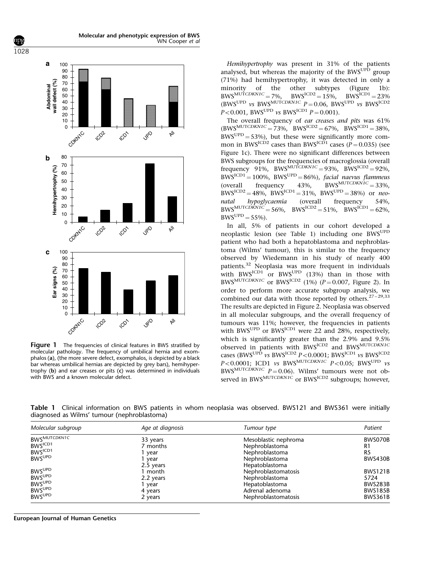

Figure 1 The frequencies of clinical features in BWS stratified by molecular pathology. The frequency of umbilical hernia and exomphalos (a), (the more severe defect, exomphalos, is depicted by a black bar whereas umbilical hernias are depicted by grey bars), hemihypertrophy (b) and ear creases or pits (c) was determined in individuals with BWS and a known molecular defect.

Hemihypertrophy was present in 31% of the patients analysed, but whereas the majority of the BWS<sup>UPD</sup> group (71%) had hemihypertrophy, it was detected in only a minority of the other subtypes (Figure 1b):  $BWS^{MUTCDKN1C} = 7\%, \quad BWS^{ICD2} = 15\%, \quad BWS^{ICD1} = 23\%$  $(BWS^{UPD}$  vs BWS<sup>MUTCDKN1C</sup>  $P = 0.06$ , BWS<sup>UPD</sup> vs BWS<sup>ICD2</sup>  $P < 0.001$ , BWS<sup>UPD</sup> vs BWS<sup>ICD1</sup>  $P = 0.001$ .

The overall frequency of ear creases and pits was 61%  $(BWS^{MUTCDKN1C} = 73\%$ ,  $BWS^{ICD2} = 67\%$ ,  $BWS^{ICD1} = 38\%$ ,  $BWS^{UPD} = 53\%$ , but these were significantly more common in BWS<sup>ICD2</sup> cases than BWS<sup>ICD1</sup> cases ( $P = 0.035$ ) (see Figure 1c). There were no significant differences between BWS subgroups for the frequencies of macroglossia (overall frequency 91%, BWS<sup>MUTCDKN1C</sup> = 93%, BWS<sup>ICD2</sup> = 92%.  $BWS^{ICD1} = 100\%$ ,  $BWS^{UPD} = 86\%$ , facial naevus flammeus (overall frequency 43%, BWS<sup>MUTCDKN1C</sup> = 33%,  $BWS^{ICD2} = 48\%, \, BWS^{ICD1} = 31\%, \, BWS^{UPD} = 38\%$  or neo-<br>natal hypoglycaemia (overall frequency 54%) natal hypoglycaemia (overall frequency 54%,  $BWS^{MUTCDKNIC} = 56\%$ ,  $BWS^{ICD2} = 51\%$ ,  $BWS^{ICD1} = 62\%$ .  $BWS^{UPD} = 55\%$ ).

In all, 5% of patients in our cohort developed a neoplastic lesion (see Table 1) including one BWSUPD patient who had both a hepatoblastoma and nephroblastoma (Wilms' tumour), this is similar to the frequency observed by Wiedemann in his study of nearly 400 patients.<sup>32</sup> Neoplasia was more frequent in individuals with BWS<sup>ICD1</sup> or BWS<sup>UPD</sup> (13%) than in those with BWS<sup>MUTCDKN1C</sup> or BWS<sup>ICD2</sup> (1%) ( $P = 0.007$ , Figure 2). In order to perform more accurate subgroup analysis, we combined our data with those reported by others.<sup>27-29,33</sup> The results are depicted in Figure 2. Neoplasia was observed in all molecular subgroups, and the overall frequency of tumours was 11%; however, the frequencies in patients with BWS<sup>UPD</sup> or BWS<sup>ICD1</sup> were 22 and 28%, respectively, which is significantly greater than the 2.9% and 9.5% observed in patients with BWSICD2 and BWSMUTCDKN1C cases (BWS<sup>UPD</sup> vs BWS<sup>ICD2</sup>  $P < 0.0001$ ; BWS<sup>ICD1</sup> vs BWS<sup>ICD2</sup>  $P < 0.0001$ ; ICD1 vs BWS<sup>MUTCDKN1C</sup>  $P < 0.05$ : BWS<sup>UPD</sup> vs BWS<sup>MUTCDKN1C</sup>  $P = 0.06$ ). Wilms' tumours were not observed in BWS<sup>MUTCDKN1C</sup> or BWS<sup>ICD2</sup> subgroups: however,

Table 1 Clinical information on BWS patients in whom neoplasia was observed. BWS121 and BWS361 were initially diagnosed as Wilms' tumour (nephroblastoma)

| Molecular subgroup       | Age at diagnosis | Tumour type          | Patient        |
|--------------------------|------------------|----------------------|----------------|
| BWSMUTCDKN1C             | 33 years         | Mesoblastic nephroma | BWS070B        |
| BWS <sup>ICD1</sup>      | 7 months         | Nephroblastoma       | R1             |
| BWS <sup>ICD1</sup>      | year             | Nephroblastoma       | R <sub>5</sub> |
| <b>BWS<sup>UPD</sup></b> | year             | Nephroblastoma       | <b>BWS430B</b> |
|                          | 2.5 years        | Hepatoblastoma       |                |
| <b>BWS<sup>UPD</sup></b> | I month          | Nephroblastomatosis  | <b>BWS121B</b> |
| <b>BWSUPD</b>            | 2.2 years        | Nephroblastoma       | 5724           |
| <b>BWS<sup>UPD</sup></b> | year             | Hepatoblastoma       | BWS283B        |
| <b>BWSUPD</b>            | 4 years          | Adrenal adenoma      | <b>BWS185B</b> |
| <b>BWSUPD</b>            | 2 years          | Nephroblastomatosis  | BWS361B        |

European Journal of Human Genetics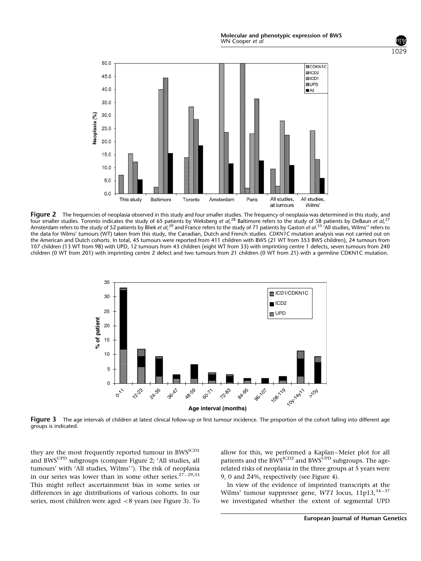

Figure 2 The frequencies of neoplasia observed in this study and four smaller studies. The frequency of neoplasia was determined in this study, and four smaller studies. Toronto indicates the study of 65 patients by Weksberg et al,<sup>28</sup> Baltimore refers to the study of 58 patients by DeBaun et al,<sup>27</sup> Amsterdam refers to the study of 52 patients by Bliek *et al,<sup>29</sup>* and France refers to the study of 71 patients by Gaston *et al.*<sup>33</sup> 'All studies, Wilms'' refers to the data for Wilms' tumours (WT) taken from this study, the Canadian, Dutch and French studies. CDKN1C mutation analysis was not carried out on the American and Dutch cohorts. In total, 45 tumours were reported from 411 children with BWS (21 WT from 353 BWS children), 24 tumours from 107 children (13 WT from 98) with UPD, 12 tumours from 43 children (eight WT from 33) with imprinting centre 1 defects, seven tumours from 240 children (0 WT from 201) with imprinting centre 2 defect and two tumours from 21 children (0 WT from 21) with a germline CDKN1C mutation.



Figure 3 The age intervals of children at latest clinical follow-up or first tumour incidence. The proportion of the cohort falling into different age groups is indicated.

they are the most frequently reported tumour in BWS<sup>ICD1</sup> and BWSUPD subgroups (compare Figure 2; 'All studies, all tumours' with 'All studies, Wilms''). The risk of neoplasia in our series was lower than in some other series.<sup>27-29,33</sup> This might reflect ascertainment bias in some series or differences in age distributions of various cohorts. In our series, most children were aged  $<$  8 years (see Figure 3). To allow for this, we performed a Kaplan–Meier plot for all patients and the BWS<sup>ICD2</sup> and BWS<sup>UPD</sup> subgroups. The agerelated risks of neoplasia in the three groups at 5 years were 9, 0 and 24%, respectively (see Figure 4).

In view of the evidence of imprinted transcripts at the Wilms' tumour suppresser gene, WT1 locus,  $11p13$ ,  $34-37$ we investigated whether the extent of segmental UPD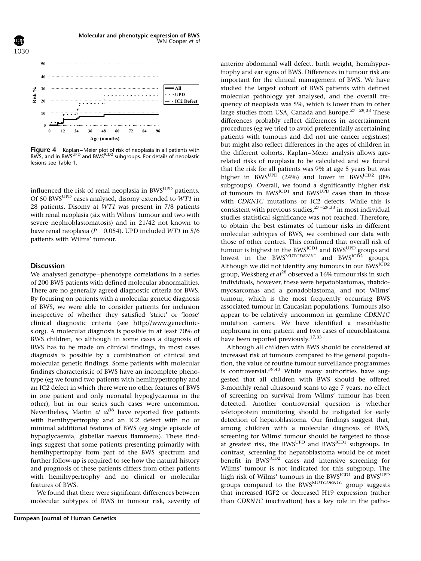

Figure 4 Kaplan–Meier plot of risk of neoplasia in all patients with BWS, and in BWS<sup>UPD</sup> and BWS<sup>ICD2</sup> subgroups. For details of neoplastic lesions see Table 1.

influenced the risk of renal neoplasia in BWS<sup>UPD</sup> patients. Of 50 BWSUPD cases analysed, disomy extended to WT1 in 28 patients. Disomy at WT1 was present in 7/8 patients with renal neoplasia (six with Wilms' tumour and two with severe nephroblastomatosis) and in 21/42 not known to have renal neoplasia ( $P = 0.054$ ). UPD included WT1 in 5/6 patients with Wilms' tumour.

#### **Discussion**

We analysed genotype–phenotype correlations in a series of 200 BWS patients with defined molecular abnormalities. There are no generally agreed diagnostic criteria for BWS. By focusing on patients with a molecular genetic diagnosis of BWS, we were able to consider patients for inclusion irrespective of whether they satisfied 'strict' or 'loose' clinical diagnostic criteria (see http://www.geneclinics.org). A molecular diagnosis is possible in at least 70% of BWS children, so although in some cases a diagnosis of BWS has to be made on clinical findings, in most cases diagnosis is possible by a combination of clinical and molecular genetic findings. Some patients with molecular findings characteristic of BWS have an incomplete phenotype (eg we found two patients with hemihypertrophy and an IC2 defect in which there were no other features of BWS in one patient and only neonatal hypoglycaemia in the other), but in our series such cases were uncommon. Nevertheless, Martin et  $al^{38}$  have reported five patients with hemihypertrophy and an IC2 defect with no or minimal additional features of BWS (eg single episode of hypoglycaemia, glabellar naevus flammeus). These findings suggest that some patients presenting primarily with hemihypertrophy form part of the BWS spectrum and further follow-up is required to see how the natural history and prognosis of these patients differs from other patients with hemihypertrophy and no clinical or molecular features of BWS.

We found that there were significant differences between molecular subtypes of BWS in tumour risk, severity of anterior abdominal wall defect, birth weight, hemihypertrophy and ear signs of BWS. Differences in tumour risk are important for the clinical management of BWS. We have studied the largest cohort of BWS patients with defined molecular pathology yet analysed, and the overall frequency of neoplasia was 5%, which is lower than in other large studies from USA, Canada and Europe.<sup>27-29,33</sup> These differences probably reflect differences in ascertainment procedures (eg we tried to avoid preferentially ascertaining patients with tumours and did not use cancer registries) but might also reflect differences in the ages of children in the different cohorts. Kaplan–Meier analysis allows agerelated risks of neoplasia to be calculated and we found that the risk for all patients was 9% at age 5 years but was higher in BWS<sup>UPD</sup> (24%) and lower in BWS<sup>ICD2</sup> (0%) subgroups). Overall, we found a significantly higher risk of tumours in BWSICD1 and BWSUPD cases than in those with CDKN1C mutations or IC2 defects. While this is consistent with previous studies, $2^{7-29,33}$  in most individual studies statistical significance was not reached. Therefore, to obtain the best estimates of tumour risks in different molecular subtypes of BWS, we combined our data with those of other centres. This confirmed that overall risk of tumour is highest in the BWS<sup>ICD1</sup> and BWS<sup>UPD</sup> groups and lowest in the BWS $^{MUTCDKNIC}$  and BWS $^{ICD2}$  groups. Although we did not identify any tumours in our BWSICD2 group, Weksberg et  $al^{28}$  observed a 16% tumour risk in such individuals, however, these were hepatoblastomas, rhabdomyosarcomas and a gonadoblastoma, and not Wilms' tumour, which is the most frequently occurring BWS associated tumour in Caucasian populations. Tumours also appear to be relatively uncommon in germline CDKN1C mutation carriers. We have identified a mesoblastic nephroma in one patient and two cases of neuroblastoma have been reported previously.<sup>17,33</sup>

Although all children with BWS should be considered at increased risk of tumours compared to the general population, the value of routine tumour surveillance programmes is controversial.<sup>39,40</sup> While many authorities have suggested that all children with BWS should be offered 3-monthly renal ultrasound scans to age 7 years, no effect of screening on survival from Wilms' tumour has been detected. Another controversial question is whether a-fetoprotein monitoring should be instigated for early detection of hepatoblastoma. Our findings suggest that, among children with a molecular diagnosis of BWS, screening for Wilms' tumour should be targeted to those at greatest risk, the BWS<sup>UPD</sup> and BWS<sup>ICD1</sup> subgroups. In contrast, screening for hepatoblastoma would be of most benefit in BWS<sup>ICD2</sup> cases and intensive screening for Wilms' tumour is not indicated for this subgroup. The high risk of Wilms' tumours in the BWS<sup>ICD1</sup> and BWS<sup>UPD</sup> groups compared to the BWSMUTCDKN1C group suggests that increased IGF2 or decreased H19 expression (rather than CDKN1C inactivation) has a key role in the patho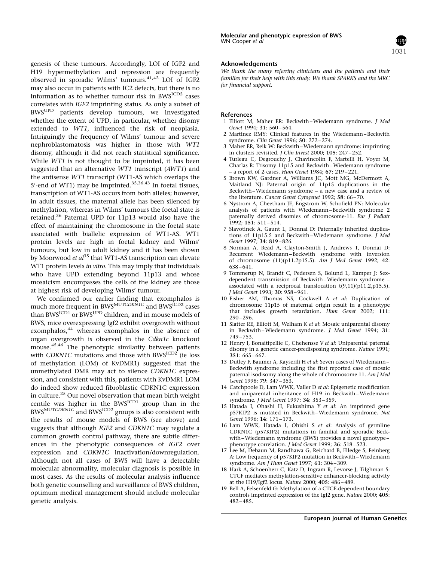genesis of these tumours. Accordingly, LOI of IGF2 and H19 hypermethylation and repression are frequently observed in sporadic Wilms' tumours.41,42 LOI of IGF2 may also occur in patients with IC2 defects, but there is no information as to whether tumour risk in BWS<sup>ICD2</sup> cases correlates with IGF2 imprinting status. As only a subset of BWSUPD patients develop tumours, we investigated whether the extent of UPD, in particular, whether disomy extended to WT1, influenced the risk of neoplasia. Intriguingly the frequency of Wilms' tumour and severe nephroblastomatosis was higher in those with WT1 disomy, although it did not reach statistical significance. While *WT1* is not thought to be imprinted, it has been suggested that an alternative WT1 transcript (AWT1) and the antisense WT1 transcript (WT1-AS which overlaps the 5'-end of WT1) may be imprinted.<sup>35,36,43</sup> In foetal tissues, transcription of WT1-AS occurs from both alleles; however, in adult tissues, the maternal allele has been silenced by methylation, whereas in Wilms' tumours the foetal state is retained.<sup>36</sup> Paternal UPD for 11p13 would also have the effect of maintaining the chromosome in the foetal state associated with biallelic expression of WT1-AS. WT1 protein levels are high in foetal kidney and Wilms' tumours, but low in adult kidney and it has been shown by Moorwood *et al*<sup>35</sup> that WT1-AS transcription can elevate WT1 protein levels in vitro. This may imply that individuals who have UPD extending beyond 11p13 and whose mosaicism encompasses the cells of the kidney are those at highest risk of developing Wilms' tumour.

We confirmed our earlier finding that exomphalos is much more frequent in BWS<sup>MUTCDKN1C</sup> and BWS<sup>ICD2</sup> cases than BWSICD1 or BWSUPD children, and in mouse models of BWS, mice overexpressing Igf2 exhibit overgrowth without exomphalos,<sup>44</sup> whereas exomphalos in the absence of organ overgrowth is observed in the Cdkn1c knockout mouse.<sup>45,46</sup> The phenotypic similarity between patients with CDKN1C mutations and those with BWS<sup>ICD2</sup> (ie loss of methylation (LOM) of KvDMR1) suggested that the unmethylated DMR may act to silence CDKN1C expression, and consistent with this, patients with KvDMR1 LOM do indeed show reduced fibroblastic CDKN1C expression in culture.<sup>25</sup> Our novel observation that mean birth weight centile was higher in the  $BWS^{ICD1}$  group than in the BWS<sup>MUTCDKN1C</sup> and BWS<sup>ICD2</sup> groups is also consistent with the results of mouse models of BWS (see above) and suggests that although IGF2 and CDKN1C may regulate a common growth control pathway, there are subtle differences in the phenotypic consequences of IGF2 over expression and CDKN1C inactivation/downregulation. Although not all cases of BWS will have a detectable molecular abnormality, molecular diagnosis is possible in most cases. As the results of molecular analysis influence both genetic counselling and surveillance of BWS children, optimum medical management should include molecular genetic analysis.

#### Acknowledgements

We thank the many referring clinicians and the patients and their families for their help with this study. We thank SPARKS and the MRC for financial support.

1031

#### References

- 1 Elliott M, Maher ER: Beckwith–Wiedemann syndrome. J Med Genet 1994; 31: 560–564.
- 2 Martinez RMY: Clinical features in the Wiedemann–Beckwith syndrome. Clin Genet 1996; 50: 272–274.
- 3 Maher ER, Reik W: Beckwith–Wiedemann syndrome: imprinting in clusters revisited. J Clin Invest 2000; 105: 247–252.
- 4 Turleau C, Degrouchy J, Chavincolin F, Martelli H, Voyer M, Charlas R: Trisomy 11p15 and Beckwith–Wiedemann syndrome – a report of 2 cases. Hum Genet 1984; 67: 219–221.
- 5 Brown KW, Gardner A, Williams JC, Mott MG, McDermott A, Maitland NJ: Paternal origin of 11p15 duplications in the Beckwith–Wiedemann syndrome – a new case and a review of the literature. Cancer Genet Cytogenet 1992; 58: 66–70.
- 6 Nystrom A, Cheetham JE, Engstrom W, Schofield PN: Molecular analysis of patients with Wiedemann–Beckwith syndrome 2 paternally derived disomies of chromosome-11. Eur J Pediatr 1992; 151: 511–514.
- 7 Slavotinek A, Gaunt L, Donnai D: Paternally inherited duplications of 11p15.5 and Beckwith–Wiedemann syndrome. J Med Genet 1997; 34: 819–826.
- 8 Norman A, Read A, Clayton-Smith J, Andrews T, Donnai D: Recurrent Wiedemann–Beckwith syndrome with inversion of chromosome (11)(p11.2p15.5). Am J Med Genet 1992; 42: 638–641.
- 9 Tommerup N, Brandt C, Pedersen S, Bolund L, Kamper J: Sexdependent transmission of Beckwith–Wiedemann syndrome – associated with a reciprocal translocation  $t(9,11)(p11.2,p15.5)$ . J Med Genet 1993; 30: 958–961.
- 10 Fisher AM, Thomas NS, Cockwell A et al: Duplication of chromosome 11p15 of maternal origin result in a phenotype that includes growth retardation. Hum Genet 2002; 111: 290–296.
- 11 Slatter RE, Elliott M, Welham K et al: Mosaic uniparental disomy in Beckwith–Wiedemann syndrome. J Med Genet 1994; 31: 749–753.
- 12 Henry I, Bonaitipellie C, Chehensse V et al: Uniparental paternal disomy in a genetic cancer-predisposing syndrome. Nature 1991; 351: 665–667.
- 13 Dutley F, Baumer A, Kayserili H et al: Seven cases of Wiedemann-Beckwith syndrome including the first reported case of mosaic paternal isodisomy along the whole of chromosome 11. Am J Med Genet 1998; 79: 347–353.
- 14 Catchpoole D, Lam WWK, Valler D et al: Epigenetic modification and uniparental inheritance of H19 in Beckwith–Wiedemann syndrome. J Med Genet 1997; 34: 353–359.
- 15 Hatada I, Ohashi H, Fukushima Y et al: An imprinted gene p57KIP2 is mutated in Beckwith–Wiedemann syndrome. Nat Genet 1996; 14: 171–173.
- 16 Lam WWK, Hatada I, Ohishi S et al: Analysis of germline CDKN1C (p57KIP2) mutations in familial and sporadic Beckwith–Wiedemann syndrome (BWS) provides a novel genotype– phenotype correlation. J Med Genet 1999; 36: 518-523.
- 17 Lee M, Debaun M, Randhawa G, Reichard B, Elledge S, Feinberg A: Low frequency of p57KIP2 mutation in Beckwith–Wiedemann syndrome. Am J Hum Genet 1997; 61: 304–309.
- 18 Hark A, Schoenherr C, Katz D, Ingram R, Levorse J, Tilghman S: CTCF mediates methylation-sensitive enhancer-blocking activity at the H19/Igf2 locus. Nature 2000; 405: 486–489.
- 19 Bell A, Felsenfeld G: Methylation of a CTCF-dependent boundary controls imprinted expression of the Igf2 gene. Nature 2000; 405: 482–485.